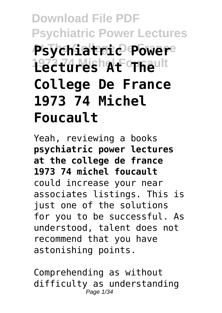# **Download File PDF Psychiatric Power Lectures At The College De France Psychiatric Power** 1973 Turesh At Theult **College De France 1973 74 Michel Foucault**

Yeah, reviewing a books **psychiatric power lectures at the college de france 1973 74 michel foucault** could increase your near associates listings. This is just one of the solutions for you to be successful. As understood, talent does not recommend that you have astonishing points.

Comprehending as without difficulty as understanding Page 1/34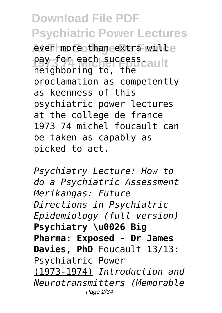even more than extra wille pay for each success.<br>paichboring to the cault neighboring to, the proclamation as competently as keenness of this psychiatric power lectures at the college de france 1973 74 michel foucault can be taken as capably as picked to act.

*Psychiatry Lecture: How to do a Psychiatric Assessment Merikangas: Future Directions in Psychiatric Epidemiology (full version)* **Psychiatry \u0026 Big Pharma: Exposed - Dr James Davies, PhD** Foucault 13/13: Psychiatric Power (1973-1974) *Introduction and Neurotransmitters (Memorable* Page 2/34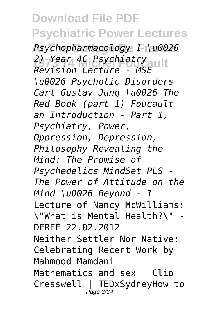**At The College De France** *Psychopharmacology 1 \u0026* **1973 74 Michel Foucault** *2) Year 4C Psychiatry Revision Lecture - MSE \u0026 Psychotic Disorders Carl Gustav Jung \u0026 The Red Book (part 1) Foucault an Introduction - Part 1, Psychiatry, Power, Oppression, Depression, Philosophy Revealing the Mind: The Promise of Psychedelics MindSet PLS - The Power of Attitude on the Mind \u0026 Beyond - 1* Lecture of Nancy McWilliams: \"What is Mental Health?\" - DEREE 22.02.2012 Neither Settler Nor Native: Celebrating Recent Work by Mahmood Mamdani Mathematics and sex | Clio Cresswell | TEDxSydneyHow to Page 3/34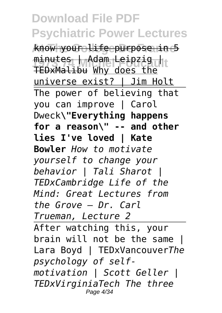**At The College De France** know your life purpose in 5 minutes | Adam Leipzig |<br>TED Molinu Why door that TEDxMalibu Why does the universe exist? | Jim Holt The power of believing that you can improve | Carol Dweck**\"Everything happens for a reason\" -- and other lies I've loved | Kate Bowler** *How to motivate yourself to change your behavior | Tali Sharot | TEDxCambridge Life of the Mind: Great Lectures from the Grove – Dr. Carl Trueman, Lecture 2* After watching this, your brain will not be the same Lara Boyd | TEDxVancouver*The psychology of selfmotivation | Scott Geller | TEDxVirginiaTech The three* Page 4/34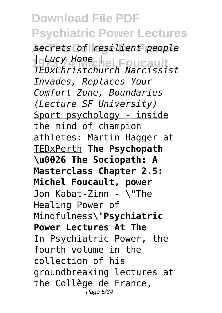**Download File PDF Psychiatric Power Lectures At The College De France** *secrets of resilient people* **1973 74 Michel Foucault** *| Lucy Hone | TEDxChristchurch Narcissist Invades, Replaces Your Comfort Zone, Boundaries (Lecture SF University)* Sport psychology - inside the mind of champion athletes: Martin Hagger at TEDxPerth **The Psychopath \u0026 The Sociopath: A Masterclass Chapter 2.5: Michel Foucault, power** Jon Kabat-Zinn - \"The Healing Power of Mindfulness\"**Psychiatric Power Lectures At The** In Psychiatric Power, the fourth volume in the collection of his groundbreaking lectures at the Collège de France, Page 5/34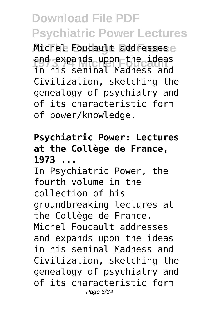Michel Foucault addressese and expands upon the ideas in his seminal Madness and Civilization, sketching the genealogy of psychiatry and of its characteristic form of power/knowledge.

#### **Psychiatric Power: Lectures at the Collège de France, 1973 ...** In Psychiatric Power, the fourth volume in the collection of his

groundbreaking lectures at the Collège de France, Michel Foucault addresses and expands upon the ideas in his seminal Madness and Civilization, sketching the genealogy of psychiatry and of its characteristic form Page 6/34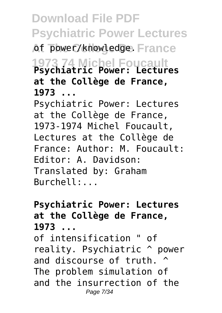**Download File PDF Psychiatric Power Lectures** of power/knowledge. France **1973 74 Michel Foucault Psychiatric Power: Lectures at the Collège de France, 1973 ...** Psychiatric Power: Lectures at the Collège de France, 1973-1974 Michel Foucault, Lectures at the Collège de France: Author: M. Foucault: Editor: A. Davidson:

Translated by: Graham  $Burchel1:$ 

#### **Psychiatric Power: Lectures at the Collège de France, 1973 ...**

of intensification " of reality. Psychiatric ^ power and discourse of truth. ^ The problem simulation of and the insurrection of the Page 7/34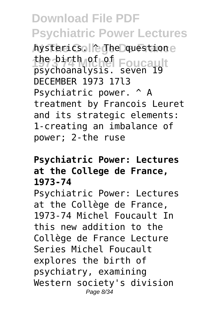hysterics. **Colleghe Questione** the birth of of Foucault psychoanalysis. seven 19 DECEMBER 1973 17l3 Psychiatric power. ^ A treatment by Francois Leuret and its strategic elements: 1-creating an imbalance of power; 2-the ruse

#### **Psychiatric Power: Lectures at the College de France, 1973-74**

Psychiatric Power: Lectures at the Collège de France, 1973-74 Michel Foucault In this new addition to the Collège de France Lecture Series Michel Foucault explores the birth of psychiatry, examining Western society's division Page 8/34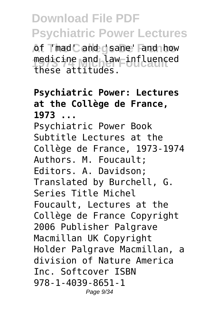**At Thad Cand gsane' Fand how** medicine and law influenced<br>these attitudes these attitudes.

#### **Psychiatric Power: Lectures at the Collège de France, 1973 ...** Psychiatric Power Book Subtitle Lectures at the Collège de France, 1973-1974 Authors. M. Foucault; Editors. A. Davidson; Translated by Burchell, G. Series Title Michel Foucault, Lectures at the Collège de France Copyright 2006 Publisher Palgrave Macmillan UK Copyright Holder Palgrave Macmillan, a division of Nature America Inc. Softcover ISBN 978-1-4039-8651-1 Page 9/34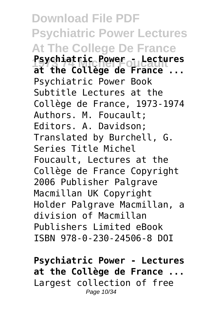**Download File PDF Psychiatric Power Lectures At The College De France Psychiatnic Power - Lectures at the Collège de France ...** Psychiatric Power Book Subtitle Lectures at the Collège de France, 1973-1974 Authors. M. Foucault; Editors. A. Davidson; Translated by Burchell, G. Series Title Michel Foucault, Lectures at the Collège de France Copyright 2006 Publisher Palgrave Macmillan UK Copyright Holder Palgrave Macmillan, a division of Macmillan Publishers Limited eBook ISBN 978-0-230-24506-8 DOI

**Psychiatric Power - Lectures at the Collège de France ...** Largest collection of free Page 10/34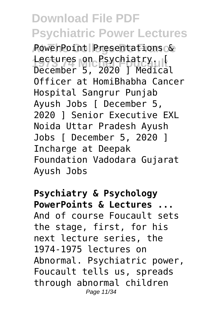PowerPoint Presentations & **1973 74 Michel Foucault** December 5, 2020 ] Medical Lectures on Psychiatry. Officer at HomiBhabha Cancer Hospital Sangrur Punjab Ayush Jobs [ December 5, 2020 ] Senior Executive EXL Noida Uttar Pradesh Ayush Jobs [ December 5, 2020 ] Incharge at Deepak Foundation Vadodara Gujarat Ayush Jobs

**Psychiatry & Psychology PowerPoints & Lectures ...** And of course Foucault sets the stage, first, for his next lecture series, the 1974-1975 lectures on Abnormal. Psychiatric power, Foucault tells us, spreads through abnormal children Page 11/34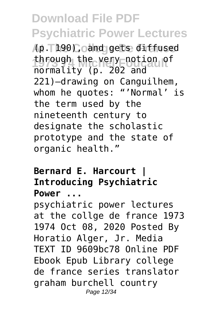**At The College De France** (p. 190), and gets diffused through the very notion of normality (p. 202 and 221)—drawing on Canguilhem, whom he quotes: "'Normal' is the term used by the nineteenth century to designate the scholastic prototype and the state of organic health."

#### **Bernard E. Harcourt | Introducing Psychiatric Power ...**

psychiatric power lectures at the collge de france 1973 1974 Oct 08, 2020 Posted By Horatio Alger, Jr. Media TEXT ID 9609bc78 Online PDF Ebook Epub Library college de france series translator graham burchell country Page 12/34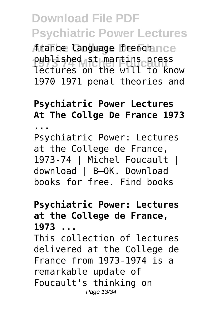**At The College De France** france language french published st martins press<br>lectures on the will to kn lectures on the will to know 1970 1971 penal theories and

#### **Psychiatric Power Lectures At The Collge De France 1973**

**...**

Psychiatric Power: Lectures at the College de France, 1973-74 | Michel Foucault | download | B–OK. Download books for free. Find books

#### **Psychiatric Power: Lectures at the College de France, 1973 ...**

This collection of lectures delivered at the College de France from 1973-1974 is a remarkable update of Foucault's thinking on Page 13/34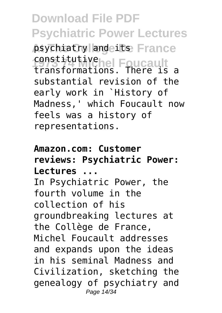psychiatry and its France constitutive<sub>ne</sub> Foucault transformations. There is a substantial revision of the early work in `History of Madness,' which Foucault now feels was a history of representations.

#### **Amazon.com: Customer reviews: Psychiatric Power: Lectures ...**

In Psychiatric Power, the fourth volume in the collection of his groundbreaking lectures at the Collège de France, Michel Foucault addresses and expands upon the ideas in his seminal Madness and Civilization, sketching the genealogy of psychiatry and Page 14/34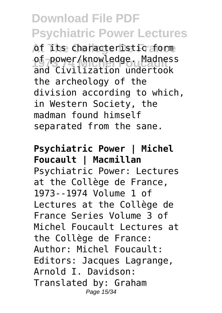**At The College De France** of its characteristic form of-power/knowledge. Madness and Civilization undertook the archeology of the division according to which, in Western Society, the madman found himself separated from the sane.

**Psychiatric Power | Michel Foucault | Macmillan** Psychiatric Power: Lectures at the Collège de France, 1973--1974 Volume 1 of Lectures at the Collège de France Series Volume 3 of Michel Foucault Lectures at the Collège de France: Author: Michel Foucault: Editors: Jacques Lagrange, Arnold I. Davidson: Translated by: Graham Page 15/34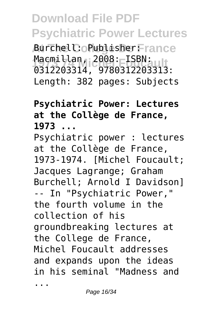**At The College De France** Burchell: Publisher: **Macmillan, 2008: ISBN:**<br>م12202214 0780212202212 0312203314, 9780312203313: Length: 382 pages: Subjects

#### **Psychiatric Power: Lectures at the Collège de France, 1973 ...**

Psychiatric power : lectures at the Collège de France, 1973-1974. [Michel Foucault; Jacques Lagrange; Graham Burchell; Arnold I Davidson] -- In "Psychiatric Power," the fourth volume in the collection of his groundbreaking lectures at the College de France, Michel Foucault addresses and expands upon the ideas in his seminal "Madness and ...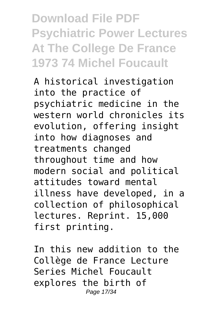**Download File PDF Psychiatric Power Lectures At The College De France 1973 74 Michel Foucault**

A historical investigation into the practice of psychiatric medicine in the western world chronicles its evolution, offering insight into how diagnoses and treatments changed throughout time and how modern social and political attitudes toward mental illness have developed, in a collection of philosophical lectures. Reprint. 15,000 first printing.

In this new addition to the Collège de France Lecture Series Michel Foucault explores the birth of Page 17/34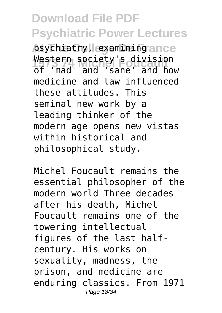psychiatry, examining ance **1973 74 Michel Foucault** of 'mad' and 'sane' and how Western society's division medicine and law influenced these attitudes. This seminal new work by a leading thinker of the modern age opens new vistas within historical and philosophical study.

Michel Foucault remains the essential philosopher of the modern world Three decades after his death, Michel Foucault remains one of the towering intellectual figures of the last halfcentury. His works on sexuality, madness, the prison, and medicine are enduring classics. From 1971 Page 18/34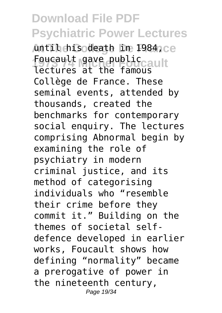Antil his death in 1984, ce Foucault gave public<br>1984 Washington for capult lectures at the famous Collège de France. These seminal events, attended by thousands, created the benchmarks for contemporary social enquiry. The lectures comprising Abnormal begin by examining the role of psychiatry in modern criminal justice, and its method of categorising individuals who "resemble their crime before they commit it." Building on the themes of societal selfdefence developed in earlier works, Foucault shows how defining "normality" became a prerogative of power in the nineteenth century, Page 19/34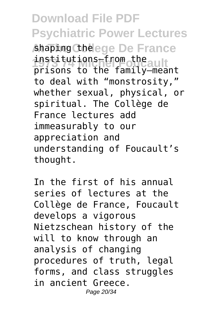#### **Download File PDF Psychiatric Power Lectures** shaping Chelege De France **1973 74 Michel Foucault** prisons to the family—meant institutions—from the to deal with "monstrosity," whether sexual, physical, or spiritual. The Collège de France lectures add immeasurably to our appreciation and understanding of Foucault's thought.

In the first of his annual series of lectures at the Collège de France, Foucault develops a vigorous Nietzschean history of the will to know through an analysis of changing procedures of truth, legal forms, and class struggles in ancient Greece. Page 20/34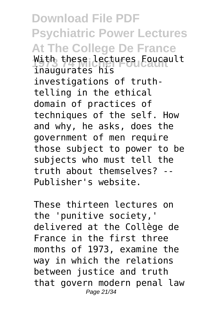**Download File PDF Psychiatric Power Lectures At The College De France** With these lectures Foucault inaugurates his investigations of truthtelling in the ethical domain of practices of techniques of the self. How and why, he asks, does the government of men require those subject to power to be subjects who must tell the truth about themselves? -- Publisher's website.

These thirteen lectures on the 'punitive society,' delivered at the Collège de France in the first three months of 1973, examine the way in which the relations between justice and truth that govern modern penal law Page 21/34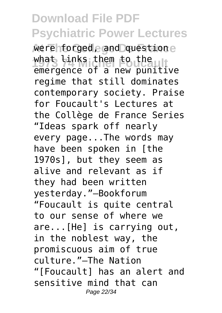were forged, and questione what links them to the emergence of a new punitive regime that still dominates contemporary society. Praise for Foucault's Lectures at the Collège de France Series "Ideas spark off nearly every page...The words may have been spoken in [the 1970s], but they seem as alive and relevant as if they had been written yesterday."—Bookforum "Foucault is quite central to our sense of where we are...[He] is carrying out, in the noblest way, the promiscuous aim of true culture."—The Nation "[Foucault] has an alert and sensitive mind that can Page 22/34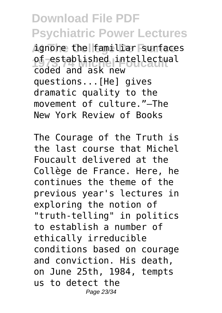**At The College De France** ignore the familiar surfaces of-established intellectual coded and ask new questions...[He] gives dramatic quality to the movement of culture."—The New York Review of Books

The Courage of the Truth is the last course that Michel Foucault delivered at the Collège de France. Here, he continues the theme of the previous year's lectures in exploring the notion of "truth-telling" in politics to establish a number of ethically irreducible conditions based on courage and conviction. His death, on June 25th, 1984, tempts us to detect the Page 23/34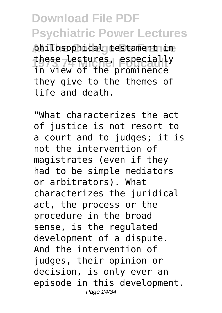philosophical testament in **1973 74 Michel Foucault** in view of the prominence these lectures, especially they give to the themes of life and death.

"What characterizes the act of justice is not resort to a court and to judges; it is not the intervention of magistrates (even if they had to be simple mediators or arbitrators). What characterizes the juridical act, the process or the procedure in the broad sense, is the regulated development of a dispute. And the intervention of judges, their opinion or decision, is only ever an episode in this development. Page 24/34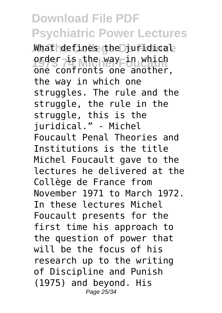What defines the juridical order-is the way in which<br>
ore contracts and unther one confronts one another, the way in which one struggles. The rule and the struggle, the rule in the struggle, this is the juridical." - Michel Foucault Penal Theories and Institutions is the title Michel Foucault gave to the lectures he delivered at the Collège de France from November 1971 to March 1972. In these lectures Michel Foucault presents for the first time his approach to the question of power that will be the focus of his research up to the writing of Discipline and Punish (1975) and beyond. His Page 25/34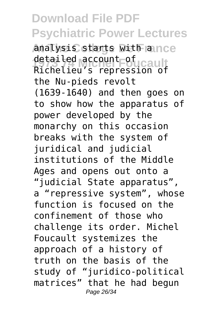analysis starts with ance detailed account of cault Richelieu's repression of the Nu-pieds revolt (1639-1640) and then goes on to show how the apparatus of power developed by the monarchy on this occasion breaks with the system of juridical and judicial institutions of the Middle Ages and opens out onto a "judicial State apparatus", a "repressive system", whose function is focused on the confinement of those who challenge its order. Michel Foucault systemizes the approach of a history of truth on the basis of the study of "juridico-political matrices" that he had begun Page 26/34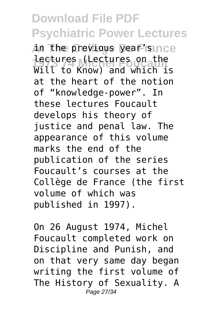**At The College De France** in the previous year's **1973 74 Michel Foucault** Will to Know) and which is lectures (Lectures on the at the heart of the notion of "knowledge-power". In these lectures Foucault develops his theory of justice and penal law. The appearance of this volume marks the end of the publication of the series Foucault's courses at the Collège de France (the first volume of which was published in 1997).

On 26 August 1974, Michel Foucault completed work on Discipline and Punish, and on that very same day began writing the first volume of The History of Sexuality. A Page 27/34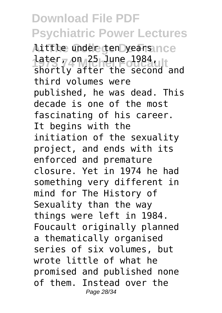**At The College De France** little under ten years **1ater, on 25 June 1984, ltd.** shortly after the second and third volumes were published, he was dead. This decade is one of the most fascinating of his career. It begins with the initiation of the sexuality project, and ends with its enforced and premature closure. Yet in 1974 he had something very different in mind for The History of Sexuality than the way things were left in 1984. Foucault originally planned a thematically organised series of six volumes, but wrote little of what he promised and published none of them. Instead over the Page 28/34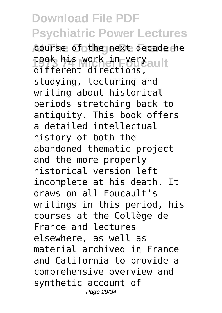course of the next decade he took his work in very ault different directions, studying, lecturing and writing about historical periods stretching back to antiquity. This book offers a detailed intellectual history of both the abandoned thematic project and the more properly historical version left incomplete at his death. It draws on all Foucault's writings in this period, his courses at the Collège de France and lectures elsewhere, as well as material archived in France and California to provide a comprehensive overview and synthetic account of Page 29/34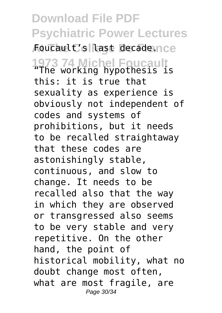**Download File PDF Psychiatric Power Lectures** Foucault's last decade.nce **1973 74 Michel Foucault** "The working hypothesis is this: it is true that sexuality as experience is obviously not independent of codes and systems of prohibitions, but it needs to be recalled straightaway that these codes are astonishingly stable, continuous, and slow to change. It needs to be recalled also that the way in which they are observed or transgressed also seems to be very stable and very repetitive. On the other hand, the point of historical mobility, what no doubt change most often, what are most fragile, are Page 30/34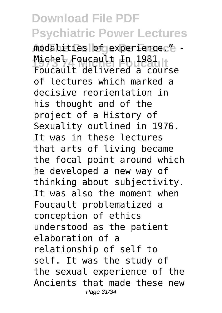modalities of experience." -Michel Foucault In 1981<br>Eaucault delivered Cour Foucault delivered a course of lectures which marked a decisive reorientation in his thought and of the project of a History of Sexuality outlined in 1976. It was in these lectures that arts of living became the focal point around which he developed a new way of thinking about subjectivity. It was also the moment when Foucault problematized a conception of ethics understood as the patient elaboration of a relationship of self to self. It was the study of the sexual experience of the Ancients that made these new Page 31/34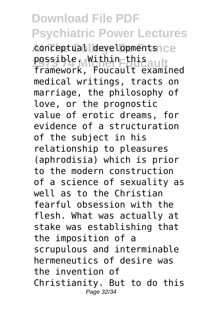conceptual developments<sub>1Ce</sub> possible. Within this<br>frame.org framework, Foucault examined medical writings, tracts on marriage, the philosophy of love, or the prognostic value of erotic dreams, for evidence of a structuration of the subject in his relationship to pleasures (aphrodisia) which is prior to the modern construction of a science of sexuality as well as to the Christian fearful obsession with the flesh. What was actually at stake was establishing that the imposition of a scrupulous and interminable hermeneutics of desire was the invention of Christianity. But to do this Page 32/34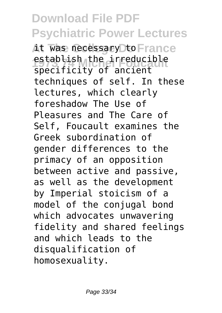it was necessary to France establish the irreducible specificity of ancient techniques of self. In these lectures, which clearly foreshadow The Use of Pleasures and The Care of Self, Foucault examines the Greek subordination of gender differences to the primacy of an opposition between active and passive, as well as the development by Imperial stoicism of a model of the conjugal bond which advocates unwavering fidelity and shared feelings and which leads to the disqualification of homosexuality.